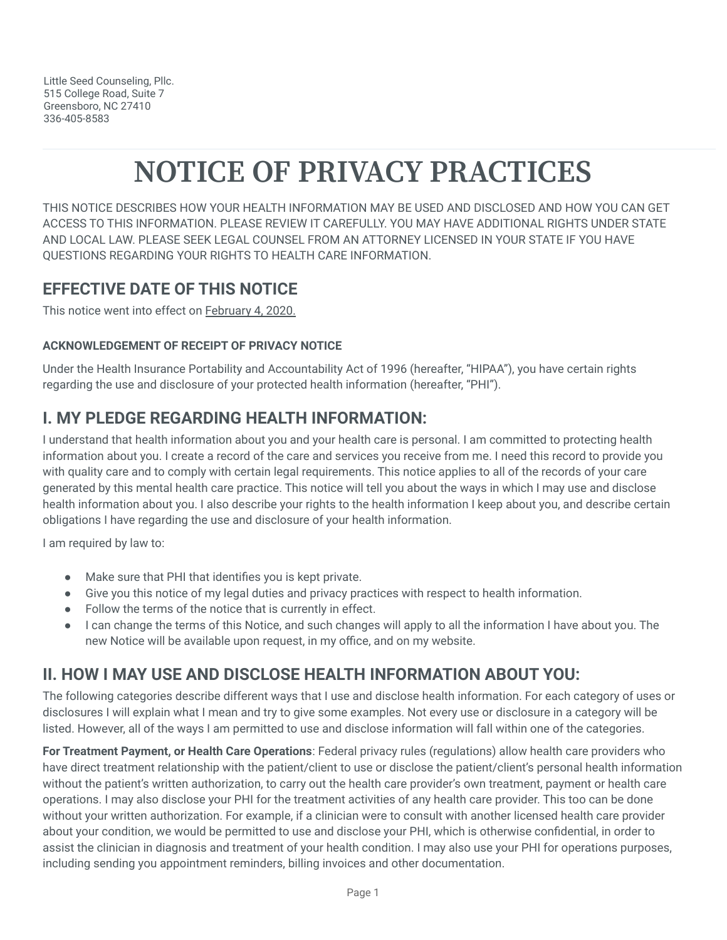Little Seed Counseling, Pllc. 515 College Road, Suite 7 Greensboro, NC 27410 336-405-8583

# **NOTICE OF PRIVACY PRACTICES**

THIS NOTICE DESCRIBES HOW YOUR HEALTH INFORMATION MAY BE USED AND DISCLOSED AND HOW YOU CAN GET ACCESS TO THIS INFORMATION. PLEASE REVIEW IT CAREFULLY. YOU MAY HAVE ADDITIONAL RIGHTS UNDER STATE AND LOCAL LAW. PLEASE SEEK LEGAL COUNSEL FROM AN ATTORNEY LICENSED IN YOUR STATE IF YOU HAVE QUESTIONS REGARDING YOUR RIGHTS TO HEALTH CARE INFORMATION.

#### **EFFECTIVE DATE OF THIS NOTICE**

This notice went into effect on February 4, 2020.

#### **ACKNOWLEDGEMENT OF RECEIPT OF PRIVACY NOTICE**

Under the Health Insurance Portability and Accountability Act of 1996 (hereafter, "HIPAA"), you have certain rights regarding the use and disclosure of your protected health information (hereafter, "PHI").

#### **I. MY PLEDGE REGARDING HEALTH INFORMATION:**

I understand that health information about you and your health care is personal. I am committed to protecting health information about you. I create a record of the care and services you receive from me. I need this record to provide you with quality care and to comply with certain legal requirements. This notice applies to all of the records of your care generated by this mental health care practice. This notice will tell you about the ways in which I may use and disclose health information about you. I also describe your rights to the health information I keep about you, and describe certain obligations I have regarding the use and disclosure of your health information.

I am required by law to:

- Make sure that PHI that identifies you is kept private.
- Give you this notice of my legal duties and privacy practices with respect to health information.
- Follow the terms of the notice that is currently in effect.
- I can change the terms of this Notice, and such changes will apply to all the information I have about you. The new Notice will be available upon request, in my office, and on my website.

## **II. HOW I MAY USE AND DISCLOSE HEALTH INFORMATION ABOUT YOU:**

The following categories describe different ways that I use and disclose health information. For each category of uses or disclosures I will explain what I mean and try to give some examples. Not every use or disclosure in a category will be listed. However, all of the ways I am permitted to use and disclose information will fall within one of the categories.

**For Treatment Payment, or Health Care Operations**: Federal privacy rules (regulations) allow health care providers who have direct treatment relationship with the patient/client to use or disclose the patient/client's personal health information without the patient's written authorization, to carry out the health care provider's own treatment, payment or health care operations. I may also disclose your PHI for the treatment activities of any health care provider. This too can be done without your written authorization. For example, if a clinician were to consult with another licensed health care provider about your condition, we would be permitted to use and disclose your PHI, which is otherwise confidential, in order to assist the clinician in diagnosis and treatment of your health condition. I may also use your PHI for operations purposes, including sending you appointment reminders, billing invoices and other documentation.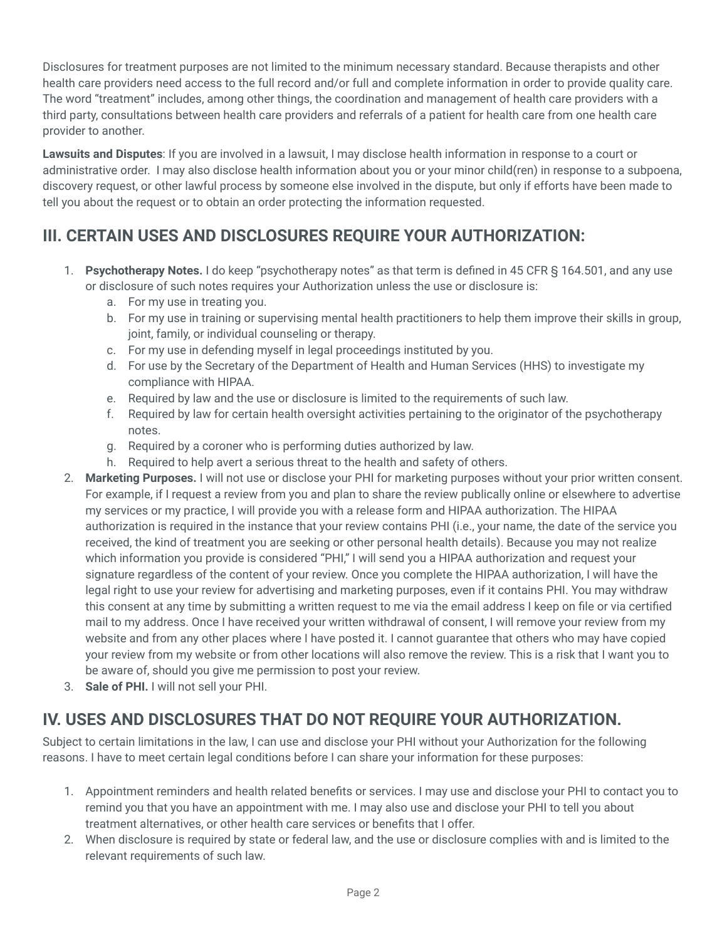Disclosures for treatment purposes are not limited to the minimum necessary standard. Because therapists and other health care providers need access to the full record and/or full and complete information in order to provide quality care. The word "treatment" includes, among other things, the coordination and management of health care providers with a third party, consultations between health care providers and referrals of a patient for health care from one health care provider to another.

**Lawsuits and Disputes**: If you are involved in a lawsuit, I may disclose health information in response to a court or administrative order. I may also disclose health information about you or your minor child(ren) in response to a subpoena, discovery request, or other lawful process by someone else involved in the dispute, but only if efforts have been made to tell you about the request or to obtain an order protecting the information requested.

### **III. CERTAIN USES AND DISCLOSURES REQUIRE YOUR AUTHORIZATION:**

- 1. **Psychotherapy Notes.** I do keep "psychotherapy notes" as that term is defined in 45 CFR § 164.501, and any use or disclosure of such notes requires your Authorization unless the use or disclosure is:
	- a. For my use in treating you.
	- b. For my use in training or supervising mental health practitioners to help them improve their skills in group, joint, family, or individual counseling or therapy.
	- c. For my use in defending myself in legal proceedings instituted by you.
	- d. For use by the Secretary of the Department of Health and Human Services (HHS) to investigate my compliance with HIPAA.
	- e. Required by law and the use or disclosure is limited to the requirements of such law.
	- f. Required by law for certain health oversight activities pertaining to the originator of the psychotherapy notes.
	- g. Required by a coroner who is performing duties authorized by law.
	- h. Required to help avert a serious threat to the health and safety of others.
- 2. **Marketing Purposes.** I will not use or disclose your PHI for marketing purposes without your prior written consent. For example, if I request a review from you and plan to share the review publically online or elsewhere to advertise my services or my practice, I will provide you with a release form and HIPAA authorization. The HIPAA authorization is required in the instance that your review contains PHI (i.e., your name, the date of the service you received, the kind of treatment you are seeking or other personal health details). Because you may not realize which information you provide is considered "PHI," I will send you a HIPAA authorization and request your signature regardless of the content of your review. Once you complete the HIPAA authorization, I will have the legal right to use your review for advertising and marketing purposes, even if it contains PHI. You may withdraw this consent at any time by submitting a written request to me via the email address I keep on file or via certified mail to my address. Once I have received your written withdrawal of consent, I will remove your review from my website and from any other places where I have posted it. I cannot guarantee that others who may have copied your review from my website or from other locations will also remove the review. This is a risk that I want you to be aware of, should you give me permission to post your review.
- 3. **Sale of PHI.** I will not sell your PHI.

# **IV. USES AND DISCLOSURES THAT DO NOT REQUIRE YOUR AUTHORIZATION.**

Subject to certain limitations in the law, I can use and disclose your PHI without your Authorization for the following reasons. I have to meet certain legal conditions before I can share your information for these purposes:

- 1. Appointment reminders and health related benefits or services. I may use and disclose your PHI to contact you to remind you that you have an appointment with me. I may also use and disclose your PHI to tell you about treatment alternatives, or other health care services or benefits that I offer.
- 2. When disclosure is required by state or federal law, and the use or disclosure complies with and is limited to the relevant requirements of such law.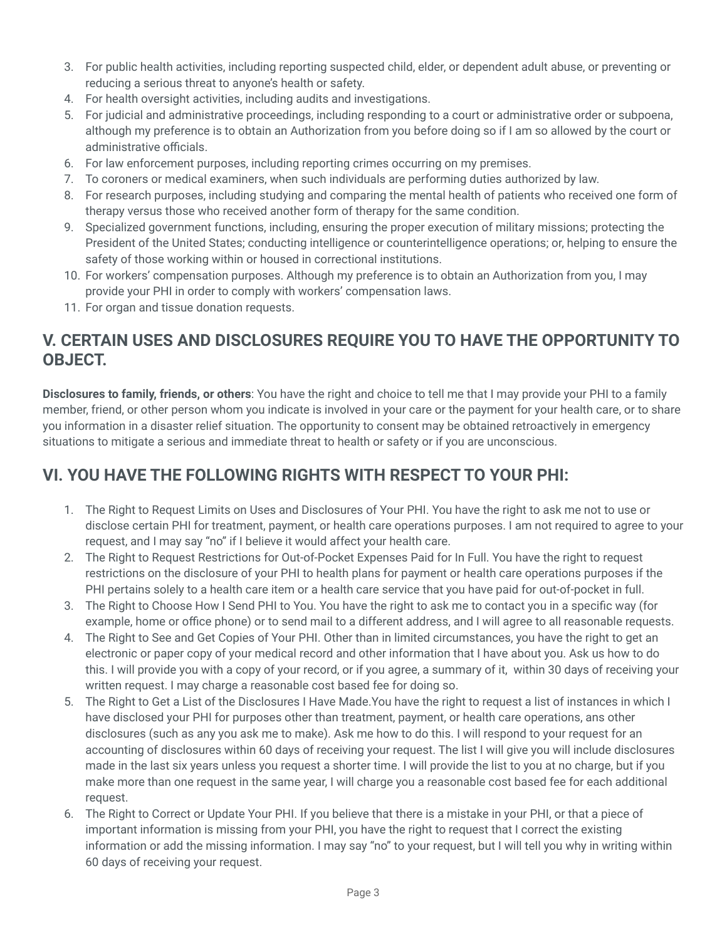- 3. For public health activities, including reporting suspected child, elder, or dependent adult abuse, or preventing or reducing a serious threat to anyone's health or safety.
- 4. For health oversight activities, including audits and investigations.
- 5. For judicial and administrative proceedings, including responding to a court or administrative order or subpoena, although my preference is to obtain an Authorization from you before doing so if I am so allowed by the court or administrative officials.
- 6. For law enforcement purposes, including reporting crimes occurring on my premises.
- 7. To coroners or medical examiners, when such individuals are performing duties authorized by law.
- 8. For research purposes, including studying and comparing the mental health of patients who received one form of therapy versus those who received another form of therapy for the same condition.
- 9. Specialized government functions, including, ensuring the proper execution of military missions; protecting the President of the United States; conducting intelligence or counterintelligence operations; or, helping to ensure the safety of those working within or housed in correctional institutions.
- 10. For workers' compensation purposes. Although my preference is to obtain an Authorization from you, I may provide your PHI in order to comply with workers' compensation laws.
- 11. For organ and tissue donation requests.

#### **V. CERTAIN USES AND DISCLOSURES REQUIRE YOU TO HAVE THE OPPORTUNITY TO OBJECT.**

**Disclosures to family, friends, or others**: You have the right and choice to tell me that I may provide your PHI to a family member, friend, or other person whom you indicate is involved in your care or the payment for your health care, or to share you information in a disaster relief situation. The opportunity to consent may be obtained retroactively in emergency situations to mitigate a serious and immediate threat to health or safety or if you are unconscious.

#### **VI. YOU HAVE THE FOLLOWING RIGHTS WITH RESPECT TO YOUR PHI:**

- 1. The Right to Request Limits on Uses and Disclosures of Your PHI. You have the right to ask me not to use or disclose certain PHI for treatment, payment, or health care operations purposes. I am not required to agree to your request, and I may say "no" if I believe it would affect your health care.
- 2. The Right to Request Restrictions for Out-of-Pocket Expenses Paid for In Full. You have the right to request restrictions on the disclosure of your PHI to health plans for payment or health care operations purposes if the PHI pertains solely to a health care item or a health care service that you have paid for out-of-pocket in full.
- 3. The Right to Choose How I Send PHI to You. You have the right to ask me to contact you in a specific way (for example, home or office phone) or to send mail to a different address, and I will agree to all reasonable requests.
- 4. The Right to See and Get Copies of Your PHI. Other than in limited circumstances, you have the right to get an electronic or paper copy of your medical record and other information that I have about you. Ask us how to do this. I will provide you with a copy of your record, or if you agree, a summary of it, within 30 days of receiving your written request. I may charge a reasonable cost based fee for doing so.
- 5. The Right to Get a List of the Disclosures I Have Made.You have the right to request a list of instances in which I have disclosed your PHI for purposes other than treatment, payment, or health care operations, ans other disclosures (such as any you ask me to make). Ask me how to do this. I will respond to your request for an accounting of disclosures within 60 days of receiving your request. The list I will give you will include disclosures made in the last six years unless you request a shorter time. I will provide the list to you at no charge, but if you make more than one request in the same year, I will charge you a reasonable cost based fee for each additional request.
- 6. The Right to Correct or Update Your PHI. If you believe that there is a mistake in your PHI, or that a piece of important information is missing from your PHI, you have the right to request that I correct the existing information or add the missing information. I may say "no" to your request, but I will tell you why in writing within 60 days of receiving your request.